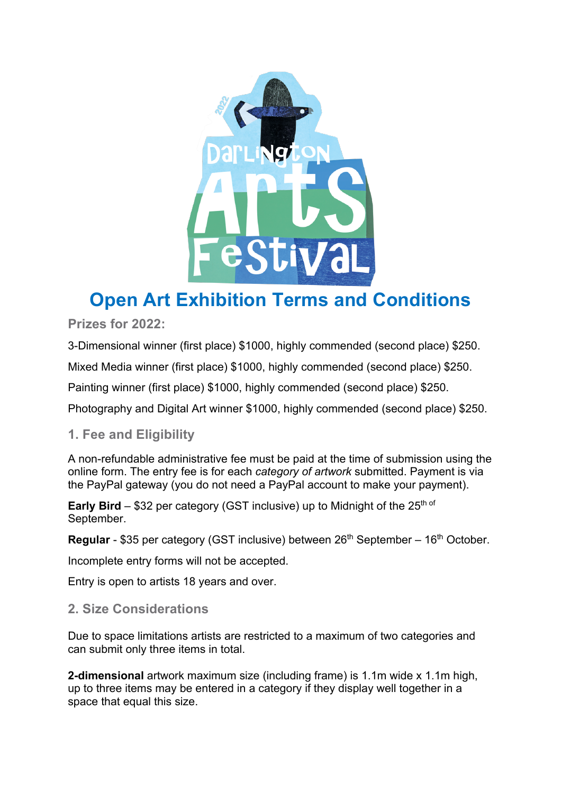

# **Open Art Exhibition Terms and Conditions**

**Prizes for 2022:**

3-Dimensional winner (first place) \$1000, highly commended (second place) \$250.

Mixed Media winner (first place) \$1000, highly commended (second place) \$250.

Painting winner (first place) \$1000, highly commended (second place) \$250.

Photography and Digital Art winner \$1000, highly commended (second place) \$250.

# **1. Fee and Eligibility**

A non-refundable administrative fee must be paid at the time of submission using the online form. The entry fee is for each *category of artwork* submitted. Payment is via the PayPal gateway (you do not need a PayPal account to make your payment).

**Early Bird** – \$32 per category (GST inclusive) up to Midnight of the 25<sup>th of</sup> September.

**Regular** - \$35 per category (GST inclusive) between 26<sup>th</sup> September – 16<sup>th</sup> October.

Incomplete entry forms will not be accepted.

Entry is open to artists 18 years and over.

# **2. Size Considerations**

Due to space limitations artists are restricted to a maximum of two categories and can submit only three items in total.

**2-dimensional** artwork maximum size (including frame) is 1.1m wide x 1.1m high, up to three items may be entered in a category if they display well together in a space that equal this size.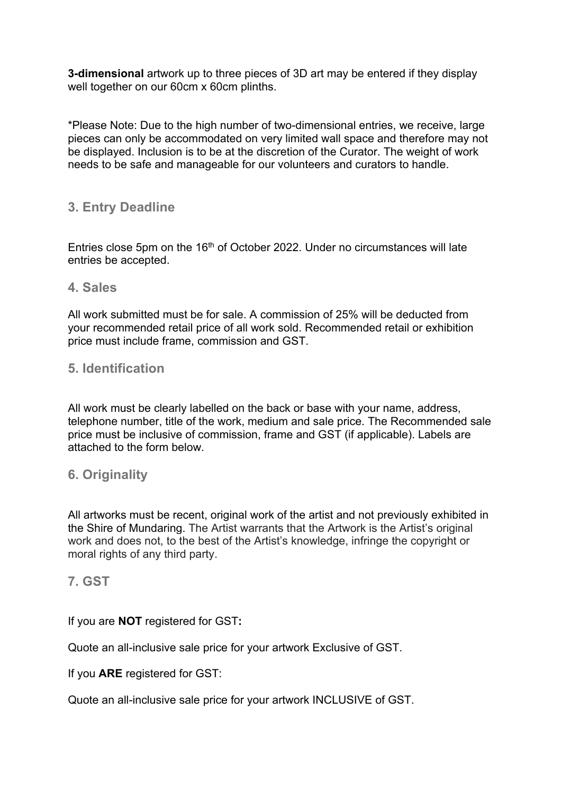**3-dimensional** artwork up to three pieces of 3D art may be entered if they display well together on our 60cm x 60cm plinths.

\*Please Note: Due to the high number of two-dimensional entries, we receive, large pieces can only be accommodated on very limited wall space and therefore may not be displayed. Inclusion is to be at the discretion of the Curator. The weight of work needs to be safe and manageable for our volunteers and curators to handle.

# **3. Entry Deadline**

Entries close 5pm on the 16<sup>th</sup> of October 2022. Under no circumstances will late entries be accepted.

#### **4. Sales**

All work submitted must be for sale. A commission of 25% will be deducted from your recommended retail price of all work sold. Recommended retail or exhibition price must include frame, commission and GST.

## **5. Identification**

All work must be clearly labelled on the back or base with your name, address, telephone number, title of the work, medium and sale price. The Recommended sale price must be inclusive of commission, frame and GST (if applicable). Labels are attached to the form below.

## **6. Originality**

All artworks must be recent, original work of the artist and not previously exhibited in the Shire of Mundaring. The Artist warrants that the Artwork is the Artist's original work and does not, to the best of the Artist's knowledge, infringe the copyright or moral rights of any third party.

## **7. GST**

If you are **NOT** registered for GST**:**

Quote an all-inclusive sale price for your artwork Exclusive of GST.

#### If you **ARE** registered for GST:

Quote an all-inclusive sale price for your artwork INCLUSIVE of GST.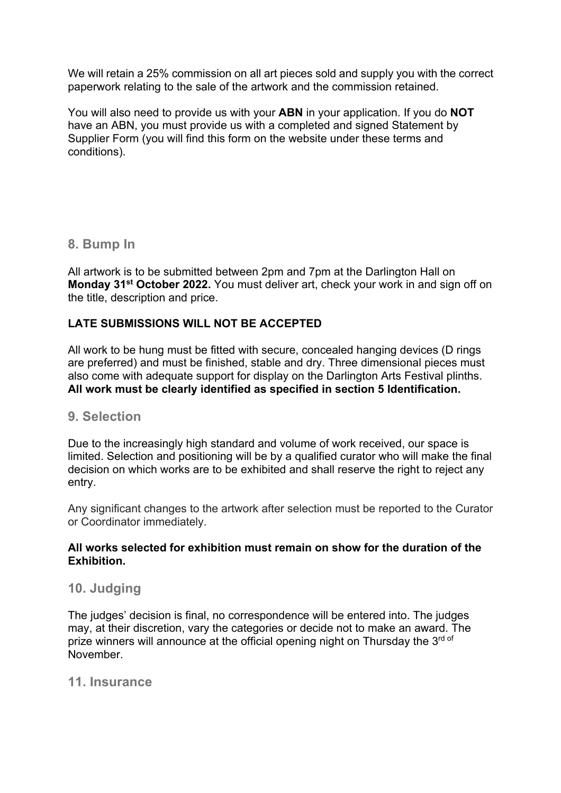We will retain a 25% commission on all art pieces sold and supply you with the correct paperwork relating to the sale of the artwork and the commission retained.

You will also need to provide us with your **ABN** in your application. If you do **NOT**  have an ABN, you must provide us with a completed and signed Statement by Supplier Form (you will find this form on the website under these terms and conditions).

## **8. Bump In**

All artwork is to be submitted between 2pm and 7pm at the Darlington Hall on **Monday 31st October 2022.** You must deliver art, check your work in and sign off on the title, description and price.

## **LATE SUBMISSIONS WILL NOT BE ACCEPTED**

All work to be hung must be fitted with secure, concealed hanging devices (D rings are preferred) and must be finished, stable and dry. Three dimensional pieces must also come with adequate support for display on the Darlington Arts Festival plinths. **All work must be clearly identified as specified in section 5 Identification.** 

## **9. Selection**

Due to the increasingly high standard and volume of work received, our space is limited. Selection and positioning will be by a qualified curator who will make the final decision on which works are to be exhibited and shall reserve the right to reject any entry.

Any significant changes to the artwork after selection must be reported to the Curator or Coordinator immediately.

#### **All works selected for exhibition must remain on show for the duration of the Exhibition.**

## **10. Judging**

The judges' decision is final, no correspondence will be entered into. The judges may, at their discretion, vary the categories or decide not to make an award. The prize winners will announce at the official opening night on Thursday the 3rd of November.

## **11. Insurance**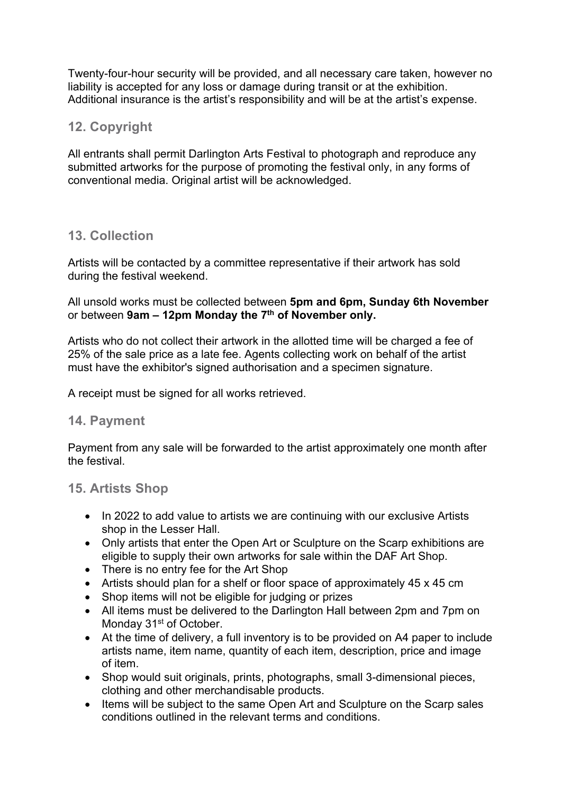Twenty-four-hour security will be provided, and all necessary care taken, however no liability is accepted for any loss or damage during transit or at the exhibition. Additional insurance is the artist's responsibility and will be at the artist's expense.

# **12. Copyright**

All entrants shall permit Darlington Arts Festival to photograph and reproduce any submitted artworks for the purpose of promoting the festival only, in any forms of conventional media. Original artist will be acknowledged.

# **13. Collection**

Artists will be contacted by a committee representative if their artwork has sold during the festival weekend.

All unsold works must be collected between **5pm and 6pm, Sunday 6th November** or between **9am – 12pm Monday the 7th of November only.** 

Artists who do not collect their artwork in the allotted time will be charged a fee of 25% of the sale price as a late fee. Agents collecting work on behalf of the artist must have the exhibitor's signed authorisation and a specimen signature.

A receipt must be signed for all works retrieved.

#### **14. Payment**

Payment from any sale will be forwarded to the artist approximately one month after the festival.

## **15. Artists Shop**

- In 2022 to add value to artists we are continuing with our exclusive Artists shop in the Lesser Hall.
- Only artists that enter the Open Art or Sculpture on the Scarp exhibitions are eligible to supply their own artworks for sale within the DAF Art Shop.
- There is no entry fee for the Art Shop
- Artists should plan for a shelf or floor space of approximately 45 x 45 cm
- Shop items will not be eligible for judging or prizes
- All items must be delivered to the Darlington Hall between 2pm and 7pm on Monday 31<sup>st</sup> of October.
- At the time of delivery, a full inventory is to be provided on A4 paper to include artists name, item name, quantity of each item, description, price and image of item.
- Shop would suit originals, prints, photographs, small 3-dimensional pieces, clothing and other merchandisable products.
- Items will be subject to the same Open Art and Sculpture on the Scarp sales conditions outlined in the relevant terms and conditions.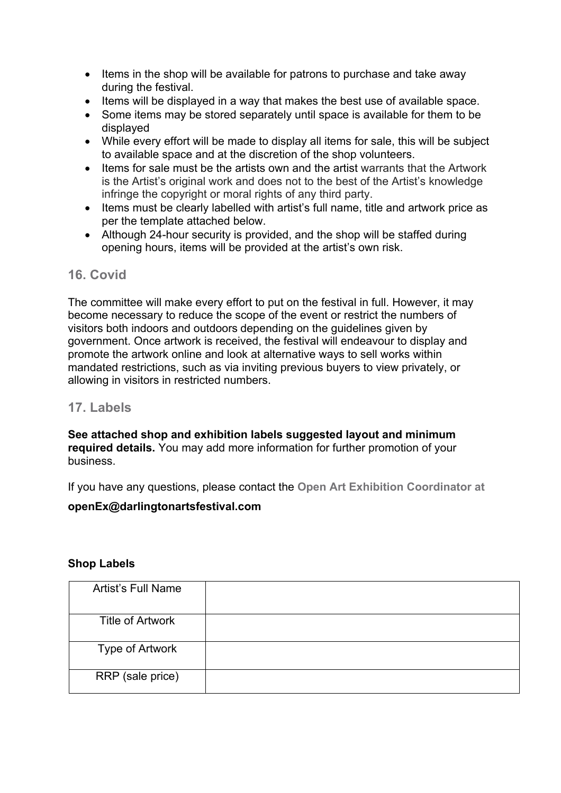- Items in the shop will be available for patrons to purchase and take away during the festival.
- Items will be displayed in a way that makes the best use of available space.
- Some items may be stored separately until space is available for them to be displayed
- While every effort will be made to display all items for sale, this will be subject to available space and at the discretion of the shop volunteers.
- Items for sale must be the artists own and the artist warrants that the Artwork is the Artist's original work and does not to the best of the Artist's knowledge infringe the copyright or moral rights of any third party.
- Items must be clearly labelled with artist's full name, title and artwork price as per the template attached below.
- Although 24-hour security is provided, and the shop will be staffed during opening hours, items will be provided at the artist's own risk.

# **16. Covid**

The committee will make every effort to put on the festival in full. However, it may become necessary to reduce the scope of the event or restrict the numbers of visitors both indoors and outdoors depending on the guidelines given by government. Once artwork is received, the festival will endeavour to display and promote the artwork online and look at alternative ways to sell works within mandated restrictions, such as via inviting previous buyers to view privately, or allowing in visitors in restricted numbers.

## **17. Labels**

**See attached shop and exhibition labels suggested layout and minimum required details.** You may add more information for further promotion of your business.

If you have any questions, please contact the **Open Art Exhibition Coordinator at** 

#### **openEx@darlingtonartsfestival.com**

#### **Shop Labels**

| <b>Artist's Full Name</b> |  |
|---------------------------|--|
| <b>Title of Artwork</b>   |  |
| Type of Artwork           |  |
| RRP (sale price)          |  |